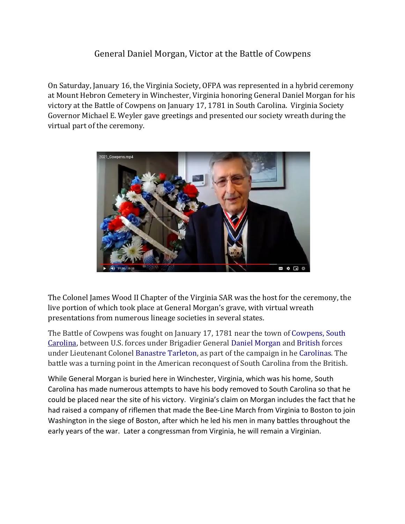## General Daniel Morgan, Victor at the Battle of Cowpens

On Saturday, January 16, the Virginia Society, OFPA was represented in a hybrid ceremony at Mount Hebron Cemetery in Winchester, Virginia honoring General Daniel Morgan for his victory at the Battle of Cowpens on January 17, 1781 in South Carolina. Virginia Society Governor Michael E. Weyler gave greetings and presented our society wreath during the virtual part of the ceremony.



The Colonel James Wood II Chapter of the Virginia SAR was the host for the ceremony, the live portion of which took place at General Morgan's grave, with virtual wreath presentations from numerous lineage societies in several states.

The Battle of Cowpens was fought on January 17, 1781 near the town of Cowpens, South Carolina, between U.S. forces under Brigadier General Daniel Morgan and British forces under Lieutenant Colonel Banastre Tarleton, as part of the campaign in he Carolinas. The battle was a turning point in the American reconquest of South Carolina from the British.

While General Morgan is buried here in Winchester, Virginia, which was his home, South Carolina has made numerous attempts to have his body removed to South Carolina so that he could be placed near the site of his victory. Virginia's claim on Morgan includes the fact that he had raised a company of riflemen that made the Bee-Line March from Virginia to Boston to join Washington in the siege of Boston, after which he led his men in many battles throughout the early years of the war. Later a congressman from Virginia, he will remain a Virginian.